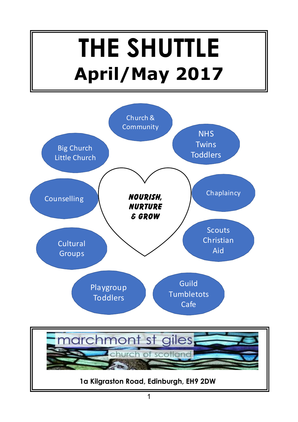# **THE SHUTTLE April/May 2017**



**1a Kilgraston Road, Edinburgh, EH9 2DW**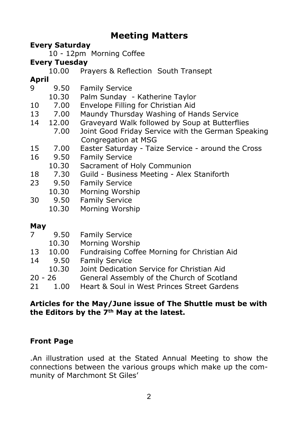#### **Meeting Matters**

#### **Every Saturday**

10 - 12pm Morning Coffee

#### **Every Tuesday**

10.00 Prayers & Reflection South Transept

#### **April**

| 9.50  | <b>Family Service</b>                              |
|-------|----------------------------------------------------|
| 10.30 | Palm Sunday - Katherine Taylor                     |
| 7.00  | Envelope Filling for Christian Aid                 |
| 7.00  | Maundy Thursday Washing of Hands Service           |
| 12.00 | Graveyard Walk followed by Soup at Butterflies     |
| 7.00  | Joint Good Friday Service with the German Speaking |
|       | Congregation at MSG                                |
| 7.00  | Easter Saturday - Taize Service - around the Cross |
| 9.50  | <b>Family Service</b>                              |
| 10.30 | Sacrament of Holy Communion                        |
| 7.30  | Guild - Business Meeting - Alex Staniforth         |
| 9.50  | <b>Family Service</b>                              |
| 10.30 | Morning Worship                                    |
| 9.50  | <b>Family Service</b>                              |
|       |                                                    |

10.30 Morning Worship

#### **May**

| <b>Family Service</b>                                       |  |
|-------------------------------------------------------------|--|
| Morning Worship<br>10.30                                    |  |
| Fundraising Coffee Morning for Christian Aid<br>10.00<br>13 |  |
| <b>Family Service</b><br>9.50<br>14                         |  |
| Joint Dedication Service for Christian Aid<br>10.30         |  |
| General Assembly of the Church of Scotland<br>$20 - 26$     |  |
| Heart & Soul in West Princes Street Gardens<br>21<br>1.00   |  |

#### **Articles for the May/June issue of The Shuttle must be with the Editors by the 7th May at the latest.**

#### **Front Page**

.An illustration used at the Stated Annual Meeting to show the connections between the various groups which make up the community of Marchmont St Giles'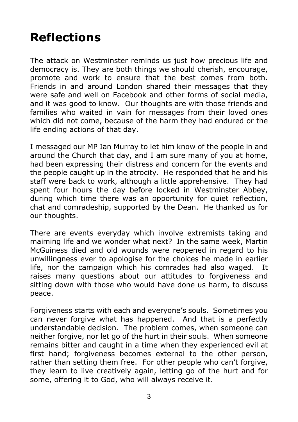## **Reflections**

The attack on Westminster reminds us just how precious life and democracy is. They are both things we should cherish, encourage, promote and work to ensure that the best comes from both. Friends in and around London shared their messages that they were safe and well on Facebook and other forms of social media, and it was good to know. Our thoughts are with those friends and families who waited in vain for messages from their loved ones which did not come, because of the harm they had endured or the life ending actions of that day.

I messaged our MP Ian Murray to let him know of the people in and around the Church that day, and I am sure many of you at home, had been expressing their distress and concern for the events and the people caught up in the atrocity. He responded that he and his staff were back to work, although a little apprehensive. They had spent four hours the day before locked in Westminster Abbey, during which time there was an opportunity for quiet reflection, chat and comradeship, supported by the Dean. He thanked us for our thoughts.

There are events everyday which involve extremists taking and maiming life and we wonder what next? In the same week, Martin McGuiness died and old wounds were reopened in regard to his unwillingness ever to apologise for the choices he made in earlier life, nor the campaign which his comrades had also waged. It raises many questions about our attitudes to forgiveness and sitting down with those who would have done us harm, to discuss peace.

Forgiveness starts with each and everyone's souls. Sometimes you can never forgive what has happened. And that is a perfectly understandable decision. The problem comes, when someone can neither forgive, nor let go of the hurt in their souls. When someone remains bitter and caught in a time when they experienced evil at first hand; forgiveness becomes external to the other person, rather than setting them free. For other people who can't forgive, they learn to live creatively again, letting go of the hurt and for some, offering it to God, who will always receive it.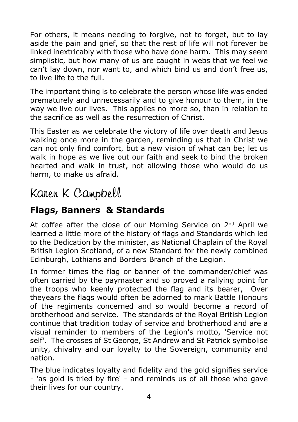For others, it means needing to forgive, not to forget, but to lay aside the pain and grief, so that the rest of life will not forever be linked inextricably with those who have done harm. This may seem simplistic, but how many of us are caught in webs that we feel we can't lay down, nor want to, and which bind us and don't free us, to live life to the full.

The important thing is to celebrate the person whose life was ended prematurely and unnecessarily and to give honour to them, in the way we live our lives. This applies no more so, than in relation to the sacrifice as well as the resurrection of Christ.

This Easter as we celebrate the victory of life over death and Jesus walking once more in the garden, reminding us that in Christ we can not only find comfort, but a new vision of what can be; let us walk in hope as we live out our faith and seek to bind the broken hearted and walk in trust, not allowing those who would do us harm, to make us afraid.

### Karen K Campbell

#### **Flags, Banners & Standards**

At coffee after the close of our Morning Service on 2<sup>nd</sup> April we learned a little more of the history of flags and Standards which led to the Dedication by the minister, as National Chaplain of the Royal British Legion Scotland, of a new Standard for the newly combined Edinburgh, Lothians and Borders Branch of the Legion.

In former times the flag or banner of the commander/chief was often carried by the paymaster and so proved a rallying point for the troops who keenly protected the flag and its bearer, Over theyears the flags would often be adorned to mark Battle Honours of the regiments concerned and so would become a record of brotherhood and service. The standards of the Royal British Legion continue that tradition today of service and brotherhood and are a visual reminder to members of the Legion's motto, 'Service not self'. The crosses of St George, St Andrew and St Patrick symbolise unity, chivalry and our loyalty to the Sovereign, community and nation.

The blue indicates loyalty and fidelity and the gold signifies service - 'as gold is tried by fire' - and reminds us of all those who gave their lives for our country.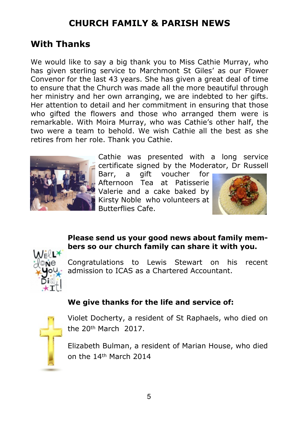#### **CHURCH FAMILY & PARISH NEWS**

#### **With Thanks**

We would like to say a big thank you to Miss Cathie Murray, who has given sterling service to Marchmont St Giles' as our Flower Convenor for the last 43 years. She has given a great deal of time to ensure that the Church was made all the more beautiful through her ministry and her own arranging, we are indebted to her gifts. Her attention to detail and her commitment in ensuring that those who gifted the flowers and those who arranged them were is remarkable. With Moira Murray, who was Cathie's other half, the two were a team to behold. We wish Cathie all the best as she retires from her role. Thank you Cathie.



Cathie was presented with a long service certificate signed by the Moderator, Dr Russell

Barr, a gift voucher for Afternoon Tea at Patisserie Valerie and a cake baked by Kirsty Noble who volunteers at Butterflies Cafe.



#### **Please send us your good news about family members so our church family can share it with you.**



Congratulations to Lewis Stewart on his recent admission to ICAS as a Chartered Accountant.

#### **We give thanks for the life and service of:**



Violet Docherty, a resident of St Raphaels, who died on the 20th March 2017.

Elizabeth Bulman, a resident of Marian House, who died on the 14th March 2014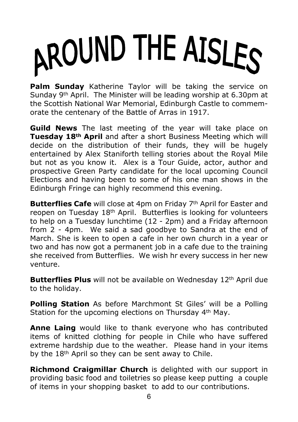# AROUND THE AISLES

**Palm Sunday** Katherine Taylor will be taking the service on Sunday 9th April. The Minister will be leading worship at 6.30pm at the Scottish National War Memorial, Edinburgh Castle to commemorate the centenary of the Battle of Arras in 1917.

**Guild News** The last meeting of the year will take place on **Tuesday 18th April** and after a short Business Meeting which will decide on the distribution of their funds, they will be hugely entertained by Alex Staniforth telling stories about the Royal Mile but not as you know it. Alex is a Tour Guide, actor, author and prospective Green Party candidate for the local upcoming Council Elections and having been to some of his one man shows in the Edinburgh Fringe can highly recommend this evening.

**Butterflies Cafe** will close at 4pm on Friday 7<sup>th</sup> April for Easter and reopen on Tuesday 18<sup>th</sup> April. Butterflies is looking for volunteers to help on a Tuesday lunchtime (12 - 2pm) and a Friday afternoon from 2 - 4pm. We said a sad goodbye to Sandra at the end of March. She is keen to open a cafe in her own church in a year or two and has now got a permanent job in a cafe due to the training she received from Butterflies. We wish hr every success in her new venture.

**Butterflies Plus** will not be available on Wednesday 12<sup>th</sup> April due to the holiday.

**Polling Station** As before Marchmont St Giles' will be a Polling Station for the upcoming elections on Thursday 4<sup>th</sup> May.

**Anne Laing** would like to thank everyone who has contributed items of knitted clothing for people in Chile who have suffered extreme hardship due to the weather. Please hand in your items by the  $18<sup>th</sup>$  April so they can be sent away to Chile.

**Richmond Craigmillar Church** is delighted with our support in providing basic food and toiletries so please keep putting a couple of items in your shopping basket to add to our contributions.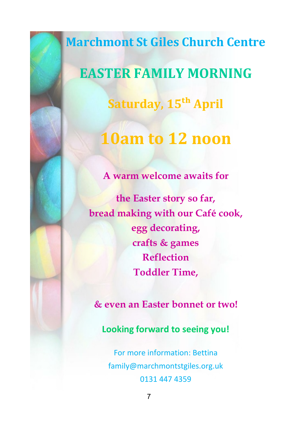**Marchmont St Giles Church Centre EASTER FAMILY MORNING Saturday, 15�� April**

# **10am to 12 noon**

**A warm welcome awaits for**

**the Easter story so far, bread making with our Café cook, egg decorating, crafts & games Reflection Toddler Time,**

**& even an Easter bonnet or two!**

**Looking forward to seeing you!**

For more information: Bettina family@marchmontstgiles.org.uk 0131 447 4359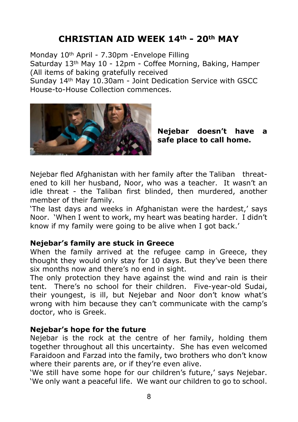#### **CHRISTIAN AID WEEK 14th - 20th MAY**

Monday 10th April - 7.30pm -Envelope Filling Saturday 13th May 10 - 12pm - Coffee Morning, Baking, Hamper (All items of baking gratefully received

Sunday 14th May 10.30am - Joint Dedication Service with GSCC House-to-House Collection commences.



**Nejebar doesn't have a safe place to call home.**

Nejebar fled Afghanistan with her family after the Taliban threatened to kill her husband, Noor, who was a teacher. It wasn't an idle threat - the Taliban first blinded, then murdered, another member of their family.

'The last days and weeks in Afghanistan were the hardest,' says Noor. 'When I went to work, my heart was beating harder. I didn't know if my family were going to be alive when I got back.'

#### **Nejebar's family are stuck in Greece**

When the family arrived at the refugee camp in Greece, they thought they would only stay for 10 days. But they've been there six months now and there's no end in sight.

The only protection they have against the wind and rain is their tent. There's no school for their children. Five-year-old Sudai, their youngest, is ill, but Nejebar and Noor don't know what's wrong with him because they can't communicate with the camp's doctor, who is Greek.

#### **Nejebar's hope for the future**

Nejebar is the rock at the centre of her family, holding them together throughout all this uncertainty. She has even welcomed Faraidoon and Farzad into the family, two brothers who don't know where their parents are, or if they're even alive.

'We still have some hope for our children's future,' says Nejebar. 'We only want a peaceful life. We want our children to go to school.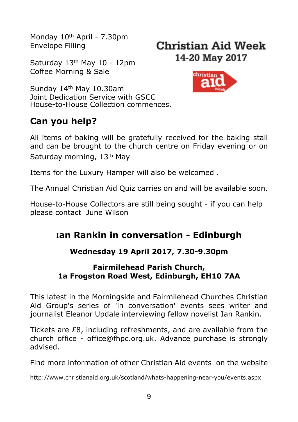Monday 10th April - 7.30pm Envelope Filling

Saturday 13th May 10 - 12pm Coffee Morning & Sale





Sunday 14th May 10.30am Joint Dedication Service with GSCC House-to-House Collection commences.

#### **Can you help?**

All items of baking will be gratefully received for the baking stall and can be brought to the church centre on Friday evening or on Saturday morning, 13<sup>th</sup> May

Items for the Luxury Hamper will also be welcomed .

The Annual Christian Aid Quiz carries on and will be available soon.

House-to-House Collectors are still being sought - if you can help please contact June Wilson

#### I**an Rankin in conversation - Edinburgh**

#### **Wednesday 19 April 2017, 7.30-9.30pm**

#### **Fairmilehead Parish Church, 1a Frogston Road West, Edinburgh, EH10 7AA**

This latest in the Morningside and Fairmilehead Churches Christian Aid Group's series of 'in conversation' events sees writer and journalist Eleanor Updale interviewing fellow novelist Ian Rankin.

Tickets are £8, including refreshments, and are available from the church office - office@fhpc.org.uk. Advance purchase is strongly advised.

Find more information of other Christian Aid events on the website

http://www.christianaid.org.uk/scotland/whats-happening-near-you/events.aspx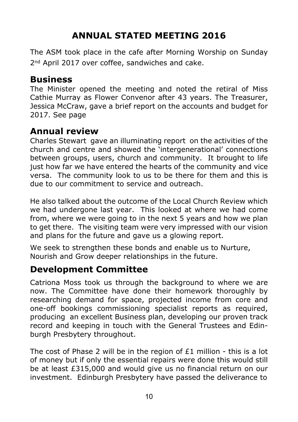#### **ANNUAL STATED MEETING 2016**

The ASM took place in the cafe after Morning Worship on Sunday 2<sup>nd</sup> April 2017 over coffee, sandwiches and cake.

#### **Business**

The Minister opened the meeting and noted the retiral of Miss Cathie Murray as Flower Convenor after 43 years. The Treasurer, Jessica McCraw, gave a brief report on the accounts and budget for 2017. See page

#### **Annual review**

Charles Stewart gave an illuminating report on the activities of the church and centre and showed the 'intergenerational' connections between groups, users, church and community. It brought to life just how far we have entered the hearts of the community and vice versa. The community look to us to be there for them and this is due to our commitment to service and outreach.

He also talked about the outcome of the Local Church Review which we had undergone last year. This looked at where we had come from, where we were going to in the next 5 years and how we plan to get there. The visiting team were very impressed with our vision and plans for the future and gave us a glowing report.

We seek to strengthen these bonds and enable us to Nurture, Nourish and Grow deeper relationships in the future.

#### **Development Committee**

Catriona Moss took us through the background to where we are now. The Committee have done their homework thoroughly by researching demand for space, projected income from core and one-off bookings commissioning specialist reports as required, producing an excellent Business plan, developing our proven track record and keeping in touch with the General Trustees and Edinburgh Presbytery throughout.

The cost of Phase 2 will be in the region of  $E1$  million - this is a lot of money but if only the essential repairs were done this would still be at least £315,000 and would give us no financial return on our investment. Edinburgh Presbytery have passed the deliverance to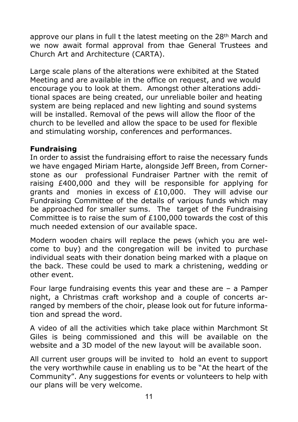approve our plans in full t the latest meeting on the 28th March and we now await formal approval from thae General Trustees and Church Art and Architecture (CARTA).

Large scale plans of the alterations were exhibited at the Stated Meeting and are available in the office on request, and we would encourage you to look at them. Amongst other alterations additional spaces are being created, our unreliable boiler and heating system are being replaced and new lighting and sound systems will be installed. Removal of the pews will allow the floor of the church to be levelled and allow the space to be used for flexible and stimulating worship, conferences and performances.

#### **Fundraising**

In order to assist the fundraising effort to raise the necessary funds we have engaged Miriam Harte, alongside Jeff Breen, from Cornerstone as our professional Fundraiser Partner with the remit of raising £400,000 and they will be responsible for applying for grants and monies in excess of £10,000. They will advise our Fundraising Committee of the details of various funds which may be approached for smaller sums. The target of the Fundraising Committee is to raise the sum of £100,000 towards the cost of this much needed extension of our available space.

Modern wooden chairs will replace the pews (which you are welcome to buy) and the congregation will be invited to purchase individual seats with their donation being marked with a plaque on the back. These could be used to mark a christening, wedding or other event.

Four large fundraising events this year and these are – a Pamper night, a Christmas craft workshop and a couple of concerts arranged by members of the choir, please look out for future information and spread the word.

A video of all the activities which take place within Marchmont St Giles is being commissioned and this will be available on the website and a 3D model of the new layout will be available soon.

All current user groups will be invited to hold an event to support the very worthwhile cause in enabling us to be "At the heart of the Community". Any suggestions for events or volunteers to help with our plans will be very welcome.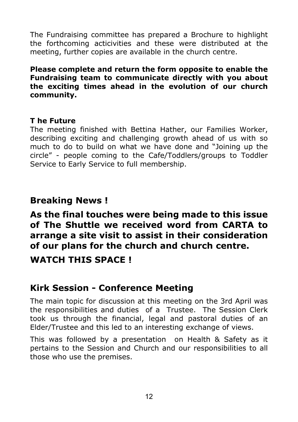The Fundraising committee has prepared a Brochure to highlight the forthcoming acticivities and these were distributed at the meeting, further copies are available in the church centre.

**Please complete and return the form opposite to enable the Fundraising team to communicate directly with you about the exciting times ahead in the evolution of our church community.**

#### **T he Future**

The meeting finished with Bettina Hather, our Families Worker, describing exciting and challenging growth ahead of us with so much to do to build on what we have done and "Joining up the circle" - people coming to the Cafe/Toddlers/groups to Toddler Service to Early Service to full membership.

#### **Breaking News !**

**As the final touches were being made to this issue of The Shuttle we received word from CARTA to arrange a site visit to assist in their consideration of our plans for the church and church centre.**

**WATCH THIS SPACE !**

#### **Kirk Session - Conference Meeting**

The main topic for discussion at this meeting on the 3rd April was the responsibilities and duties of a Trustee. The Session Clerk took us through the financial, legal and pastoral duties of an Elder/Trustee and this led to an interesting exchange of views.

This was followed by a presentation on Health & Safety as it pertains to the Session and Church and our responsibilities to all those who use the premises.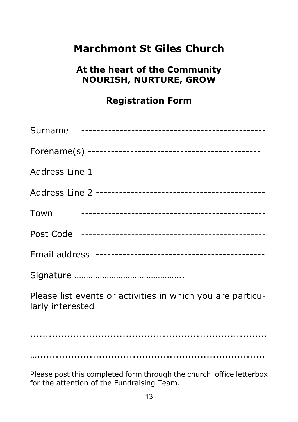#### **Marchmont St Giles Church**

#### **At the heart of the Community NOURISH, NURTURE, GROW**

#### **Registration Form**

| Town                                                                           |
|--------------------------------------------------------------------------------|
|                                                                                |
|                                                                                |
|                                                                                |
| Please list events or activities in which you are particu-<br>larly interested |
|                                                                                |
|                                                                                |
|                                                                                |

Please post this completed form through the church office letterbox for the attention of the Fundraising Team.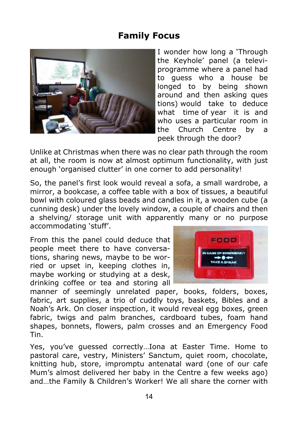#### **Family Focus**



I wonder how long a 'Through the Keyhole' panel (a televiprogramme where a panel had to guess who a house be longed to by being shown around and then asking ques tions) would take to deduce what time of year it is and who uses a particular room in the Church Centre by a peek through the door?

Unlike at Christmas when there was no clear path through the room at all, the room is now at almost optimum functionality, with just enough 'organised clutter' in one corner to add personality!

So, the panel's first look would reveal a sofa, a small wardrobe, a mirror, a bookcase, a coffee table with a box of tissues, a beautiful bowl with coloured glass beads and candles in it, a wooden cube (a cunning desk) under the lovely window, a couple of chairs and then a shelving/ storage unit with apparently many or no purpose accommodating 'stuff'.

From this the panel could deduce that people meet there to have conversations, sharing news, maybe to be worried or upset in, keeping clothes in, maybe working or studying at a desk, drinking coffee or tea and storing all



manner of seemingly unrelated paper, books, folders, boxes, fabric, art supplies, a trio of cuddly toys, baskets, Bibles and a Noah's Ark. On closer inspection, it would reveal egg boxes, green fabric, twigs and palm branches, cardboard tubes, foam hand shapes, bonnets, flowers, palm crosses and an Emergency Food Tin.

Yes, you've guessed correctly…Iona at Easter Time. Home to pastoral care, vestry, Ministers' Sanctum, quiet room, chocolate, knitting hub, store, impromptu antenatal ward (one of our cafe Mum's almost delivered her baby in the Centre a few weeks ago) and…the Family & Children's Worker! We all share the corner with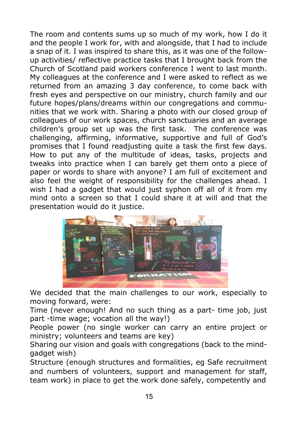The room and contents sums up so much of my work, how I do it and the people I work for, with and alongside, that I had to include a snap of it. I was inspired to share this, as it was one of the followup activities/ reflective practice tasks that I brought back from the Church of Scotland paid workers conference I went to last month. My colleagues at the conference and I were asked to reflect as we returned from an amazing 3 day conference, to come back with fresh eyes and perspective on our ministry, church family and our future hopes/plans/dreams within our congregations and communities that we work with. Sharing a photo with our closed group of colleagues of our work spaces, church sanctuaries and an average children's group set up was the first task. The conference was challenging, affirming, informative, supportive and full of God's promises that I found readjusting quite a task the first few days. How to put any of the multitude of ideas, tasks, projects and tweaks into practice when I can barely get them onto a piece of paper or words to share with anyone? I am full of excitement and also feel the weight of responsibility for the challenges ahead. I wish I had a gadget that would just syphon off all of it from my mind onto a screen so that I could share it at will and that the presentation would do it justice.



We decided that the main challenges to our work, especially to moving forward, were:

Time (never enough! And no such thing as a part- time job, just part -time wage; vocation all the way!)

People power (no single worker can carry an entire project or ministry; volunteers and teams are key)

Sharing our vision and goals with congregations (back to the mindgadget wish)

Structure (enough structures and formalities, eg Safe recruitment and numbers of volunteers, support and management for staff, team work) in place to get the work done safely, competently and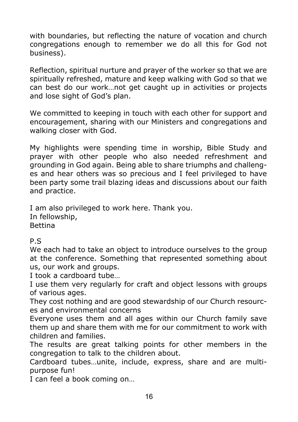with boundaries, but reflecting the nature of vocation and church congregations enough to remember we do all this for God not business).

Reflection, spiritual nurture and prayer of the worker so that we are spiritually refreshed, mature and keep walking with God so that we can best do our work…not get caught up in activities or projects and lose sight of God's plan.

We committed to keeping in touch with each other for support and encouragement, sharing with our Ministers and congregations and walking closer with God.

My highlights were spending time in worship, Bible Study and prayer with other people who also needed refreshment and grounding in God again. Being able to share triumphs and challenges and hear others was so precious and I feel privileged to have been party some trail blazing ideas and discussions about our faith and practice.

I am also privileged to work here. Thank you. In fellowship, Bettina

#### P.S

We each had to take an object to introduce ourselves to the group at the conference. Something that represented something about us, our work and groups.

I took a cardboard tube…

I use them very regularly for craft and object lessons with groups of various ages.

They cost nothing and are good stewardship of our Church resources and environmental concerns

Everyone uses them and all ages within our Church family save them up and share them with me for our commitment to work with children and families.

The results are great talking points for other members in the congregation to talk to the children about.

Cardboard tubes…unite, include, express, share and are multipurpose fun!

I can feel a book coming on…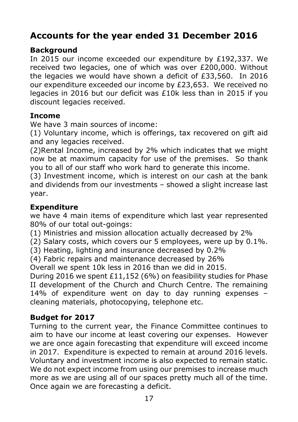#### **Accounts for the year ended 31 December 2016**

#### **Background**

In 2015 our income exceeded our expenditure by £192,337. We received two legacies, one of which was over £200,000. Without the legacies we would have shown a deficit of £33,560. In 2016 our expenditure exceeded our income by £23,653. We received no legacies in 2016 but our deficit was £10k less than in 2015 if you discount legacies received.

#### **Income**

We have 3 main sources of income:

(1) Voluntary income, which is offerings, tax recovered on gift aid and any legacies received.

(2)Rental Income, increased by 2% which indicates that we might now be at maximum capacity for use of the premises. So thank you to all of our staff who work hard to generate this income.

(3) Investment income, which is interest on our cash at the bank and dividends from our investments – showed a slight increase last year.

#### **Expenditure**

we have 4 main items of expenditure which last year represented 80% of our total out-goings:

- (1) Ministries and mission allocation actually decreased by 2%
- (2) Salary costs, which covers our 5 employees, were up by 0.1%.
- (3) Heating, lighting and insurance decreased by 0.2%
- (4) Fabric repairs and maintenance decreased by 26%

Overall we spent 10k less in 2016 than we did in 2015.

During 2016 we spent £11,152 (6%) on feasibility studies for Phase II development of the Church and Church Centre. The remaining 14% of expenditure went on day to day running expenses – cleaning materials, photocopying, telephone etc.

#### **Budget for 2017**

Turning to the current year, the Finance Committee continues to aim to have our income at least covering our expenses. However we are once again forecasting that expenditure will exceed income in 2017. Expenditure is expected to remain at around 2016 levels. Voluntary and investment income is also expected to remain static. We do not expect income from using our premises to increase much more as we are using all of our spaces pretty much all of the time. Once again we are forecasting a deficit.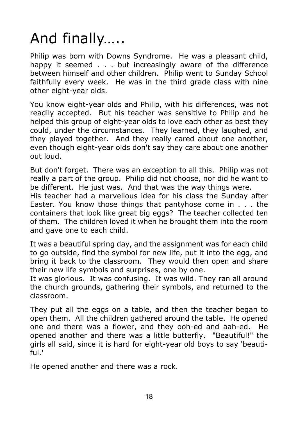# And finally…..

Philip was born with Downs Syndrome. He was a pleasant child, happy it seemed . . . but increasingly aware of the difference between himself and other children. Philip went to Sunday School faithfully every week. He was in the third grade class with nine other eight-year olds.

You know eight-year olds and Philip, with his differences, was not readily accepted. But his teacher was sensitive to Philip and he helped this group of eight-year olds to love each other as best they could, under the circumstances. They learned, they laughed, and they played together. And they really cared about one another, even though eight-year olds don't say they care about one another out loud.

But don't forget. There was an exception to all this. Philip was not really a part of the group. Philip did not choose, nor did he want to be different. He just was. And that was the way things were.

His teacher had a marvellous idea for his class the Sunday after Easter. You know those things that pantyhose come in . . . the containers that look like great big eggs? The teacher collected ten of them. The children loved it when he brought them into the room and gave one to each child.

It was a beautiful spring day, and the assignment was for each child to go outside, find the symbol for new life, put it into the egg, and bring it back to the classroom. They would then open and share their new life symbols and surprises, one by one.

It was glorious. It was confusing. It was wild. They ran all around the church grounds, gathering their symbols, and returned to the classroom.

They put all the eggs on a table, and then the teacher began to open them. All the children gathered around the table. He opened one and there was a flower, and they ooh-ed and aah-ed. He opened another and there was a little butterfly. "Beautiful!" the girls all said, since it is hard for eight-year old boys to say 'beautiful.'

He opened another and there was a rock.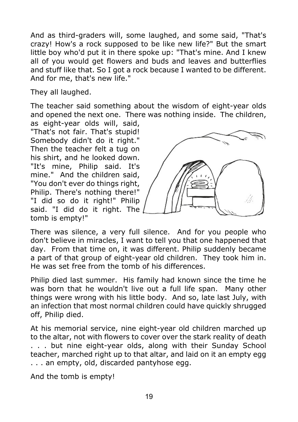And as third-graders will, some laughed, and some said, "That's crazy! How's a rock supposed to be like new life?" But the smart little boy who'd put it in there spoke up: "That's mine. And I knew all of you would get flowers and buds and leaves and butterflies and stuff like that. So I got a rock because I wanted to be different. And for me, that's new life."

They all laughed.

The teacher said something about the wisdom of eight-year olds and opened the next one. There was nothing inside. The children.

as eight-year olds will, said, "That's not fair. That's stupid! Somebody didn't do it right." Then the teacher felt a tug on his shirt, and he looked down. "It's mine, Philip said. It's mine." And the children said, "You don't ever do things right, Philip. There's nothing there!" "I did so do it right!" Philip said. "I did do it right. The tomb is empty!"



There was silence, a very full silence. And for you people who don't believe in miracles, I want to tell you that one happened that day. From that time on, it was different. Philip suddenly became a part of that group of eight-year old children. They took him in. He was set free from the tomb of his differences.

Philip died last summer. His family had known since the time he was born that he wouldn't live out a full life span. Many other things were wrong with his little body. And so, late last July, with an infection that most normal children could have quickly shrugged off, Philip died.

At his memorial service, nine eight-year old children marched up to the altar, not with flowers to cover over the stark reality of death . . . but nine eight-year olds, along with their Sunday School teacher, marched right up to that altar, and laid on it an empty egg . . . an empty, old, discarded pantyhose egg.

And the tomb is empty!